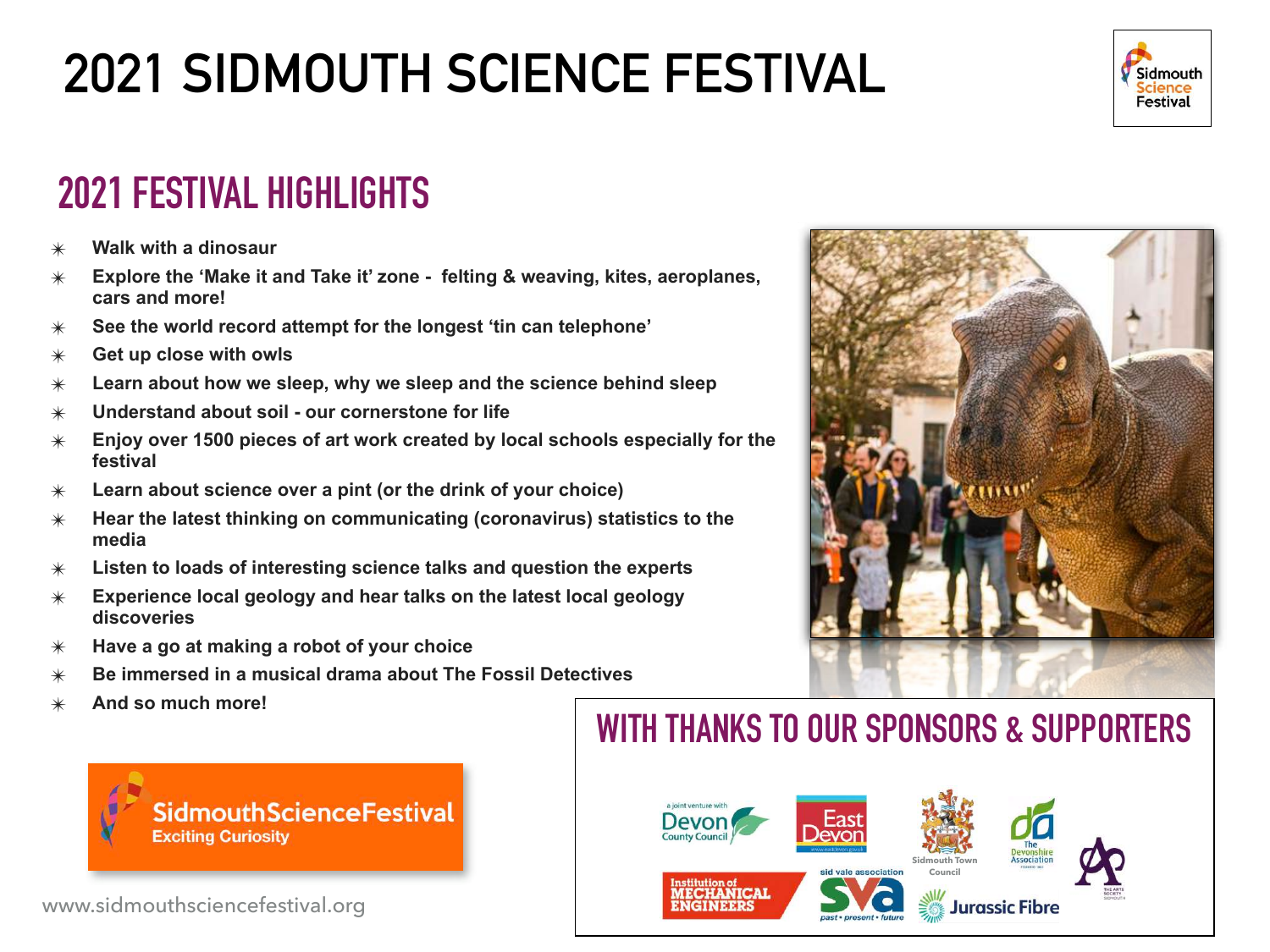

## **2021 FESTIVAL HIGHLIGHTS**

- ✴ **Walk with a dinosaur**
- ✴ **Explore the 'Make it and Take it' zone felting & weaving, kites, aeroplanes, cars and more!**
- ✴ **See the world record attempt for the longest 'tin can telephone'**
- ✴ **Get up close with owls**
- ✴ **Learn about how we sleep, why we sleep and the science behind sleep**
- ✴ **Understand about soil our cornerstone for life**
- ✴ **Enjoy over 1500 pieces of art work created by local schools especially for the festival**
- ✴ **Learn about science over a pint (or the drink of your choice)**
- ✴ **Hear the latest thinking on communicating (coronavirus) statistics to the media**
- ✴ **Listen to loads of interesting science talks and question the experts**
- ✴ **Experience local geology and hear talks on the latest local geology discoveries**
- ✴ **Have a go at making a robot of your choice**
- ✴ **Be immersed in a musical drama about The Fossil Detectives**
- ✴ **And so much more!**



www.sidmouthsciencefestival.org

## **WITH THANKS TO OUR SPONSORS & SUPPORTERS**



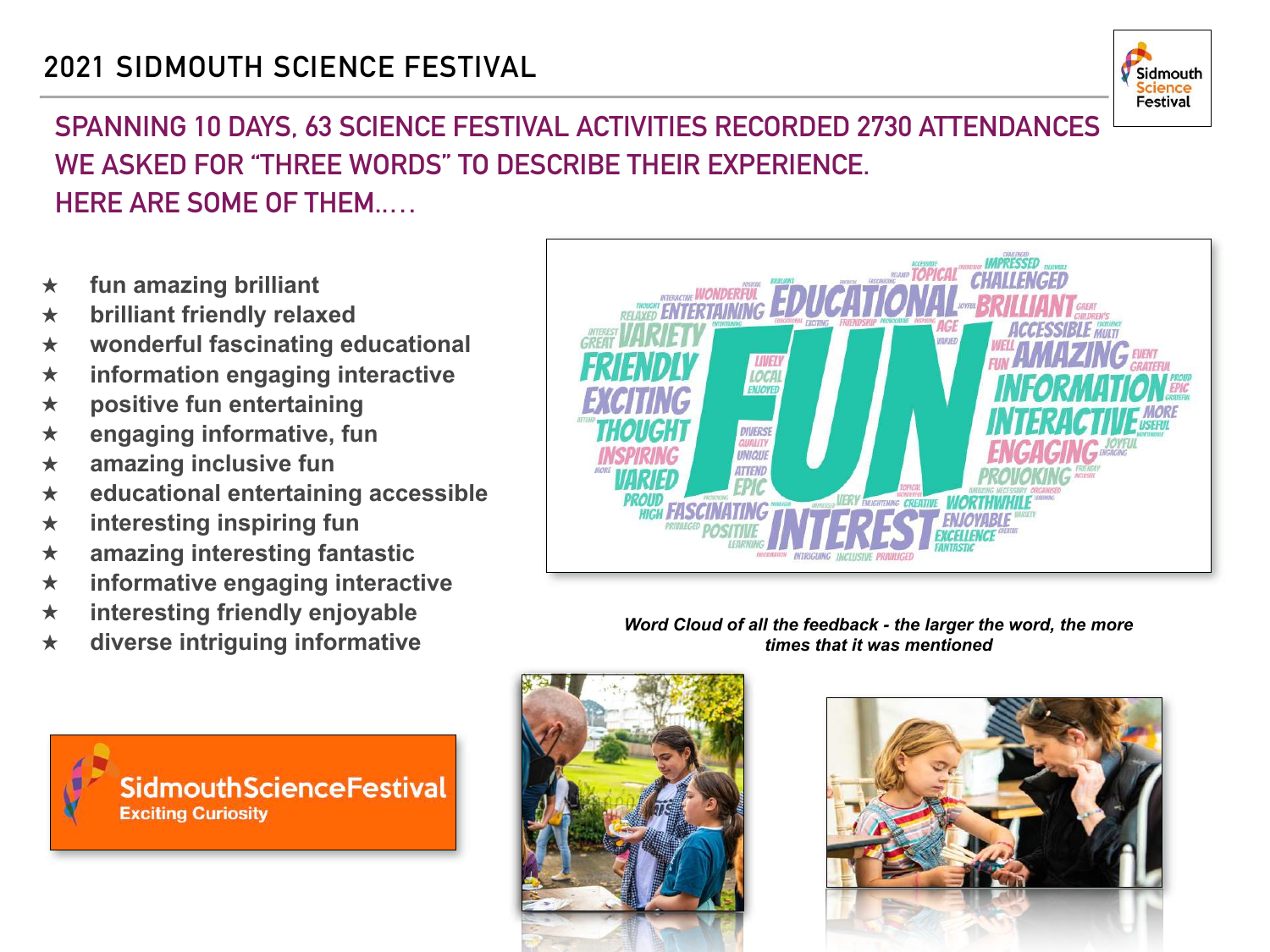

#### **SPANNING 10 DAYS, 63 SCIENCE FESTIVAL ACTIVITIES RECORDED 2730 ATTENDANCES WE ASKED FOR "THREE WORDS" TO DESCRIBE THEIR EXPERIENCE. HERE ARE SOME OF THEM..…**

- **★ fun amazing brilliant**
- **★ brilliant friendly relaxed**
- **★ wonderful fascinating educational**
- **★ information engaging interactive**
- **★ positive fun entertaining**
- **★ engaging informative, fun**
- **★ amazing inclusive fun**
- **★ educational entertaining accessible**
- **★ interesting inspiring fun**
- **★ amazing interesting fantastic**
- **★ informative engaging interactive**
- **★ interesting friendly enjoyable**
- **★ diverse intriguing informative**









*Word Cloud of all the feedback - the larger the word, the more times that it was mentioned*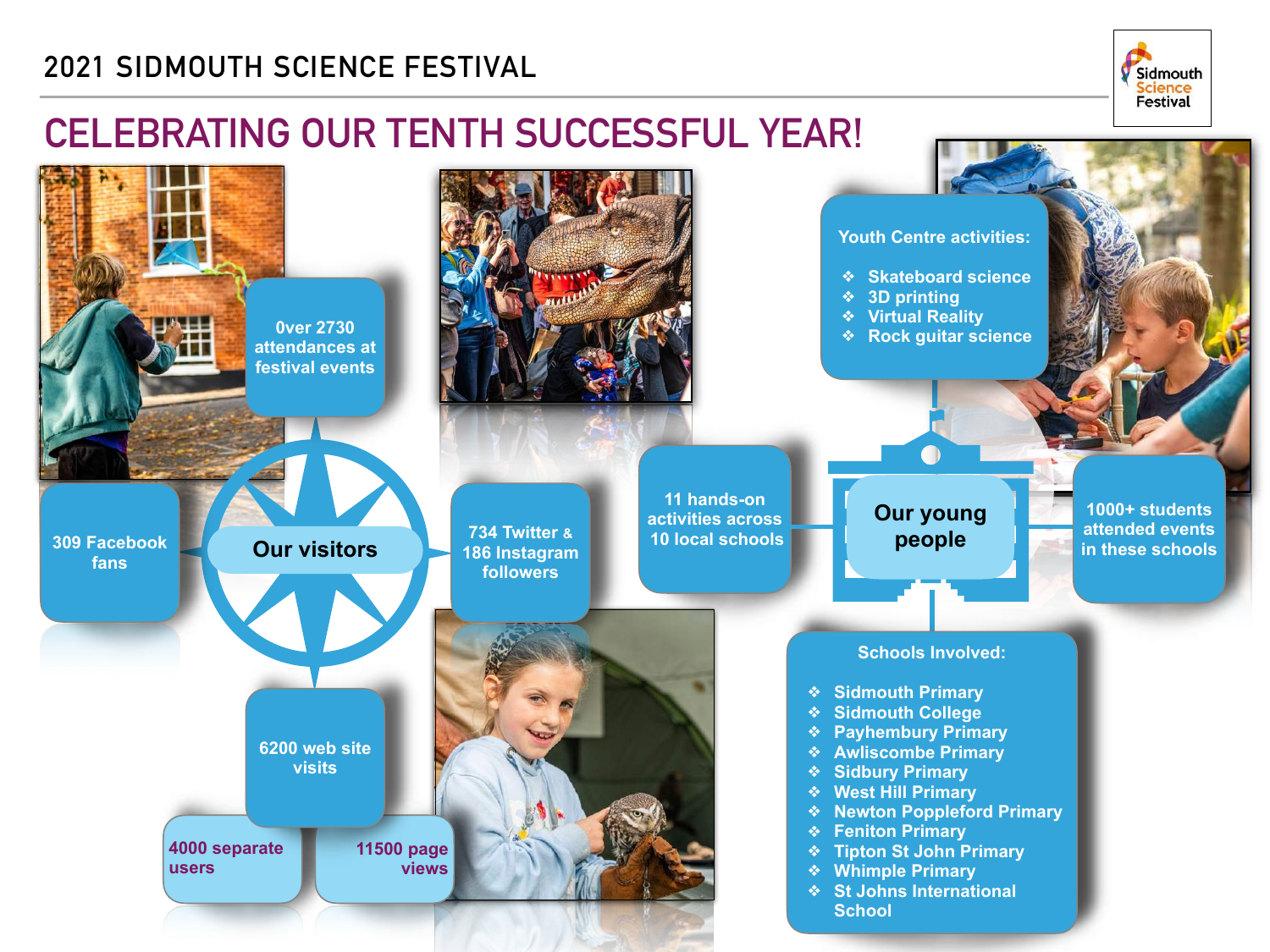

### **CELEBRATING OUR TENTH SUCCESSFUL YEAR!**